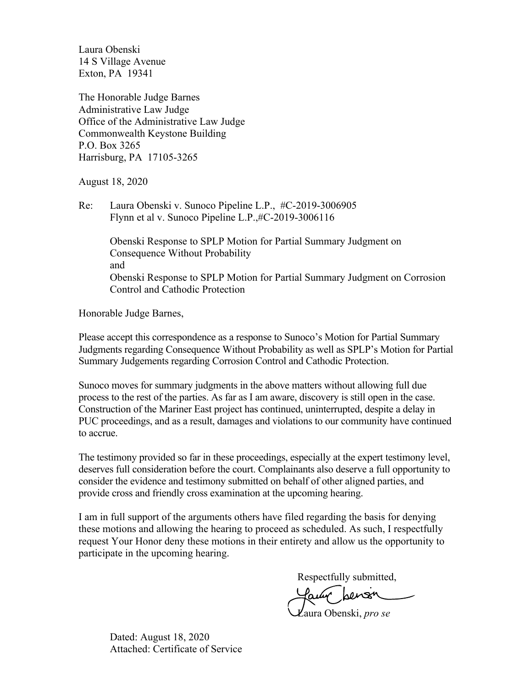Laura Obenski 14 S Village Avenue Exton, PA 19341

The Honorable Judge Barnes Administrative Law Judge Office of the Administrative Law Judge Commonwealth Keystone Building P.O. Box 3265 Harrisburg, PA 17105-3265

August 18, 2020

Re: Laura Obenski v. Sunoco Pipeline L.P., #C-2019-3006905 Flynn et al v. Sunoco Pipeline L.P.,#C-2019-3006116

> Obenski Response to SPLP Motion for Partial Summary Judgment on Consequence Without Probability and Obenski Response to SPLP Motion for Partial Summary Judgment on Corrosion Control and Cathodic Protection

Honorable Judge Barnes,

Please accept this correspondence as a response to Sunoco's Motion for Partial Summary Judgments regarding Consequence Without Probability as well as SPLP's Motion for Partial Summary Judgements regarding Corrosion Control and Cathodic Protection.

Sunoco moves for summary judgments in the above matters without allowing full due process to the rest of the parties. As far as I am aware, discovery is still open in the case. Construction of the Mariner East project has continued, uninterrupted, despite a delay in PUC proceedings, and as a result, damages and violations to our community have continued to accrue.

The testimony provided so far in these proceedings, especially at the expert testimony level, deserves full consideration before the court. Complainants also deserve a full opportunity to consider the evidence and testimony submitted on behalf of other aligned parties, and provide cross and friendly cross examination at the upcoming hearing.

I am in full support of the arguments others have filed regarding the basis for denying these motions and allowing the hearing to proceed as scheduled. As such, I respectfully request Your Honor deny these motions in their entirety and allow us the opportunity to participate in the upcoming hearing.

Respectfully submitted,

Laura Obenski, *pro se*

Dated: August 18, 2020 Attached: Certificate of Service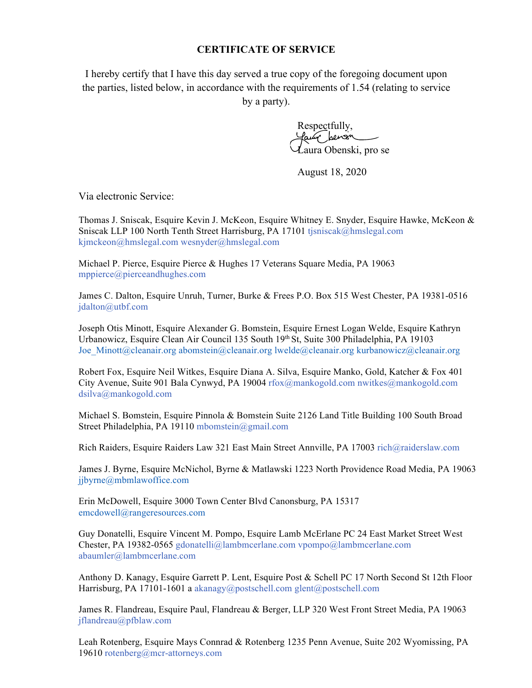## **CERTIFICATE OF SERVICE**

I hereby certify that I have this day served a true copy of the foregoing document upon the parties, listed below, in accordance with the requirements of 1.54 (relating to service by a party).

> Respectfully, uly pensin Laura Obenski, pro se

August 18, 2020

Via electronic Service:

Thomas J. Sniscak, Esquire Kevin J. McKeon, Esquire Whitney E. Snyder, Esquire Hawke, McKeon & Sniscak LLP 100 North Tenth Street Harrisburg, PA 17101 tjsniscak@hmslegal.com kjmckeon@hmslegal.com wesnyder@hmslegal.com

Michael P. Pierce, Esquire Pierce & Hughes 17 Veterans Square Media, PA 19063 mppierce@pierceandhughes.com

James C. Dalton, Esquire Unruh, Turner, Burke & Frees P.O. Box 515 West Chester, PA 19381-0516 jdalton@utbf.com

Joseph Otis Minott, Esquire Alexander G. Bomstein, Esquire Ernest Logan Welde, Esquire Kathryn Urbanowicz, Esquire Clean Air Council 135 South 19th St, Suite 300 Philadelphia, PA 19103 Joe\_Minott@cleanair.org abomstein@cleanair.org lwelde@cleanair.org kurbanowicz@cleanair.org

Robert Fox, Esquire Neil Witkes, Esquire Diana A. Silva, Esquire Manko, Gold, Katcher & Fox 401 City Avenue, Suite 901 Bala Cynwyd, PA 19004 rfox@mankogold.com nwitkes@mankogold.com dsilva@mankogold.com

Michael S. Bomstein, Esquire Pinnola & Bomstein Suite 2126 Land Title Building 100 South Broad Street Philadelphia, PA 19110 mbomstein@gmail.com

Rich Raiders, Esquire Raiders Law 321 East Main Street Annville, PA 17003 rich@raiderslaw.com

James J. Byrne, Esquire McNichol, Byrne & Matlawski 1223 North Providence Road Media, PA 19063 jjbyrne@mbmlawoffice.com

Erin McDowell, Esquire 3000 Town Center Blvd Canonsburg, PA 15317 emcdowell@rangeresources.com

Guy Donatelli, Esquire Vincent M. Pompo, Esquire Lamb McErlane PC 24 East Market Street West Chester, PA 19382-0565 gdonatelli@lambmcerlane.com vpompo@lambmcerlane.com abaumler@lambmcerlane.com

Anthony D. Kanagy, Esquire Garrett P. Lent, Esquire Post & Schell PC 17 North Second St 12th Floor Harrisburg, PA 17101-1601 a akanagy@postschell.com glent@postschell.com

James R. Flandreau, Esquire Paul, Flandreau & Berger, LLP 320 West Front Street Media, PA 19063 jflandreau@pfblaw.com

Leah Rotenberg, Esquire Mays Connrad & Rotenberg 1235 Penn Avenue, Suite 202 Wyomissing, PA 19610 rotenberg@mcr-attorneys.com